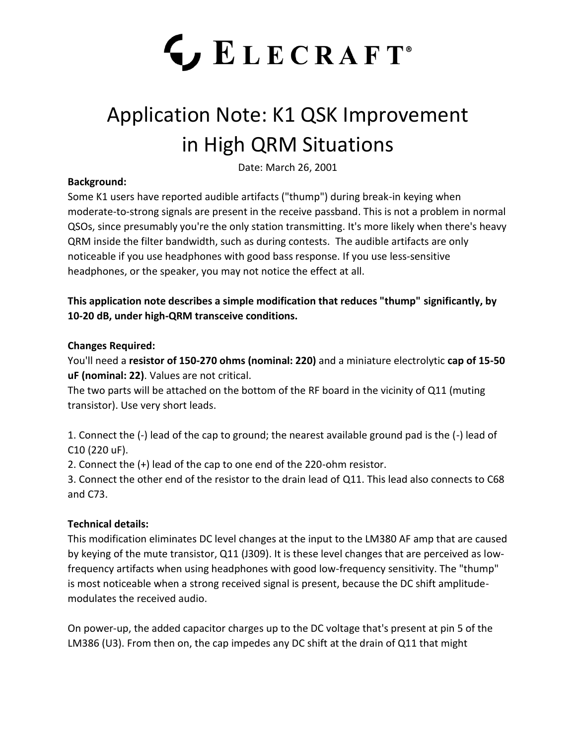# LECRAFT<sup>®</sup>

## Application Note: K1 QSK Improvement in High QRM Situations

Date: March 26, 2001

#### **Background:**

Some K1 users have reported audible artifacts ("thump") during break-in keying when moderate-to-strong signals are present in the receive passband. This is not a problem in normal QSOs, since presumably you're the only station transmitting. It's more likely when there's heavy QRM inside the filter bandwidth, such as during contests. The audible artifacts are only noticeable if you use headphones with good bass response. If you use less-sensitive headphones, or the speaker, you may not notice the effect at all.

**This application note describes a simple modification that reduces "thump" significantly, by 10-20 dB, under high-QRM transceive conditions.**

#### **Changes Required:**

You'll need a **resistor of 150-270 ohms (nominal: 220)** and a miniature electrolytic **cap of 15-50 uF (nominal: 22)**. Values are not critical.

The two parts will be attached on the bottom of the RF board in the vicinity of Q11 (muting transistor). Use very short leads.

1. Connect the (-) lead of the cap to ground; the nearest available ground pad is the (-) lead of C10 (220 uF).

2. Connect the (+) lead of the cap to one end of the 220-ohm resistor.

3. Connect the other end of the resistor to the drain lead of Q11. This lead also connects to C68 and C73.

### **Technical details:**

This modification eliminates DC level changes at the input to the LM380 AF amp that are caused by keying of the mute transistor, Q11 (J309). It is these level changes that are perceived as lowfrequency artifacts when using headphones with good low-frequency sensitivity. The "thump" is most noticeable when a strong received signal is present, because the DC shift amplitudemodulates the received audio.

On power-up, the added capacitor charges up to the DC voltage that's present at pin 5 of the LM386 (U3). From then on, the cap impedes any DC shift at the drain of Q11 that might